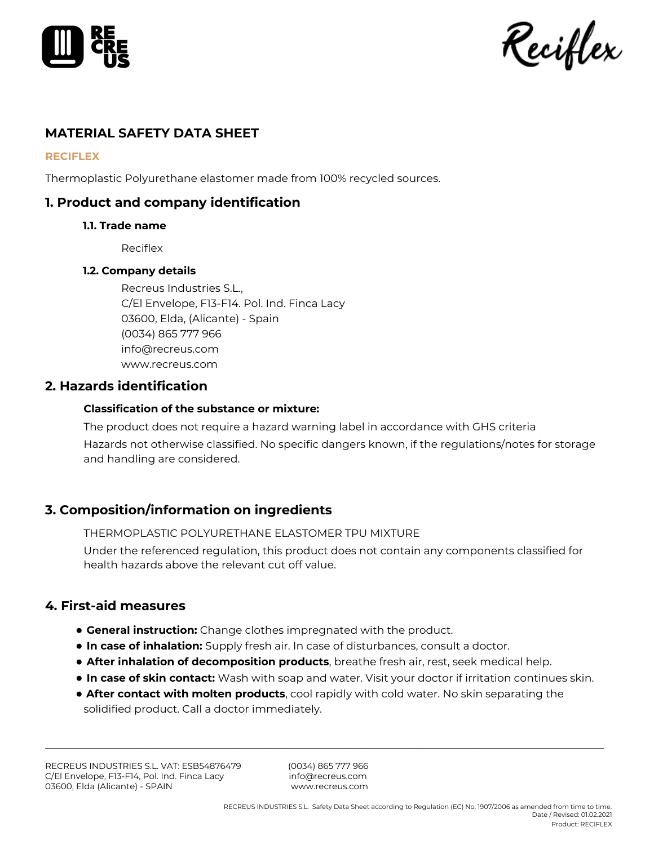

Reciflex

# **MATERIAL SAFETY DATA SHEET**

#### **RECIFLEX**

Thermoplastic Polyurethane elastomer made from 100% recycled sources.

# **1. Product and company identification**

## **1.1. Trade name**

Reciflex

## **1.2. Company details**

Recreus Industries S.L., C/El Envelope, F13-F14. Pol. Ind. Finca Lacy 03600, Elda, (Alicante) - Spain (0034) 865 777 966 info@recreus.com www.recreus.com

## **2. Hazards identification**

## **Classification of the substance or mixture:**

The product does not require a hazard warning label in accordance with GHS criteria Hazards not otherwise classified. No specific dangers known, if the regulations/notes for storage and handling are considered.

# **3. Composition/information on ingredients**

THERMOPLASTIC POLYURETHANE ELASTOMER TPU MIXTURE

Under the referenced regulation, this product does not contain any components classified for health hazards above the relevant cut off value.

# **4. First-aid measures**

- **General instruction:** Change clothes impregnated with the product.
- **In case of inhalation:** Supply fresh air. In case of disturbances, consult a doctor.
- **After inhalation of decomposition products**, breathe fresh air, rest, seek medical help.
- **In case of skin contact:** Wash with soap and water. Visit your doctor if irritation continues skin.
- **After contact with molten products**, cool rapidly with cold water. No skin separating the solidified product. Call a doctor immediately.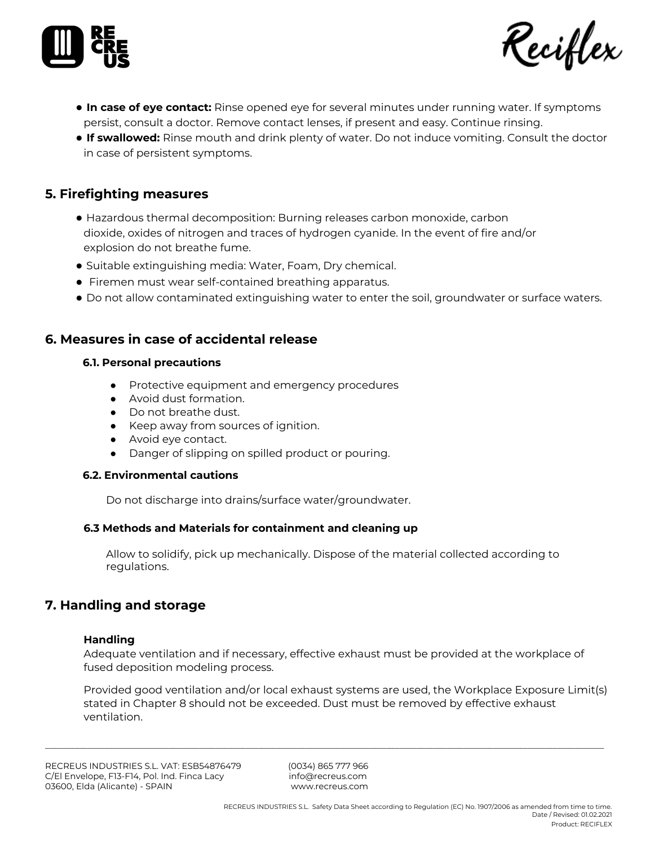



- **In case of eye contact:** Rinse opened eye for several minutes under running water. If symptoms persist, consult a doctor. Remove contact lenses, if present and easy. Continue rinsing.
- **If swallowed:** Rinse mouth and drink plenty of water. Do not induce vomiting. Consult the doctor in case of persistent symptoms.

# **5. Firefighting measures**

- Hazardous thermal decomposition: Burning releases carbon monoxide, carbon dioxide, oxides of nitrogen and traces of hydrogen cyanide. In the event of fire and/or explosion do not breathe fume.
- Suitable extinguishing media: Water, Foam, Dry chemical.
- Firemen must wear self-contained breathing apparatus.
- Do not allow contaminated extinguishing water to enter the soil, groundwater or surface waters.

# **6. Measures in case of accidental release**

#### **6.1. Personal precautions**

- Protective equipment and emergency procedures
- Avoid dust formation.
- Do not breathe dust.
- Keep away from sources of ignition.
- Avoid eye contact.
- Danger of slipping on spilled product or pouring.

## **6.2. Environmental cautions**

Do not discharge into drains/surface water/groundwater.

## **6.3 Methods and Materials for containment and cleaning up**

Allow to solidify, pick up mechanically. Dispose of the material collected according to regulations.

# **7. Handling and storage**

## **Handling**

Adequate ventilation and if necessary, effective exhaust must be provided at the workplace of fused deposition modeling process.

Provided good ventilation and/or local exhaust systems are used, the Workplace Exposure Limit(s) stated in Chapter 8 should not be exceeded. Dust must be removed by effective exhaust ventilation.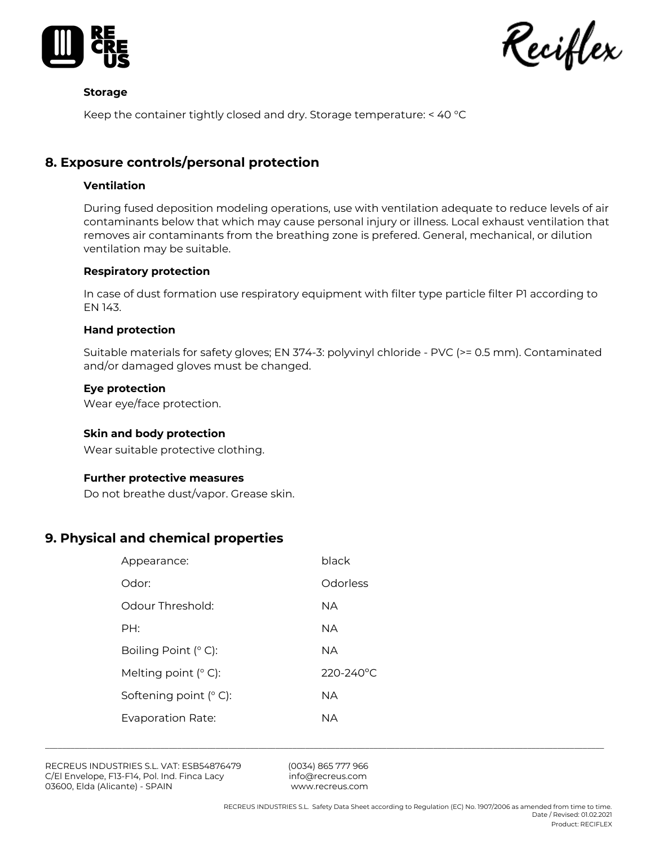

Keciflex

#### **Storage**

Keep the container tightly closed and dry. Storage temperature: < 40 °C

# **8. Exposure controls/personal protection**

## **Ventilation**

During fused deposition modeling operations, use with ventilation adequate to reduce levels of air contaminants below that which may cause personal injury or illness. Local exhaust ventilation that removes air contaminants from the breathing zone is prefered. General, mechanical, or dilution ventilation may be suitable.

#### **Respiratory protection**

In case of dust formation use respiratory equipment with filter type particle filter P1 according to EN 143.

#### **Hand protection**

Suitable materials for safety gloves; EN 374‐3: polyvinyl chloride ‐ PVC (>= 0.5 mm). Contaminated and/or damaged gloves must be changed.

#### **Eye protection**

Wear eye/face protection.

#### **Skin and body protection**

Wear suitable protective clothing.

#### **Further protective measures**

Do not breathe dust/vapor. Grease skin.

# **9. Physical and chemical properties**

| Appearance:              | black     |
|--------------------------|-----------|
| Odor:                    | Odorless  |
| Odour Threshold:         | NΑ        |
| PH:                      | NΑ        |
| Boiling Point $(°\,C)$ : | NΑ        |
| Melting point $(°$ C):   | 220-240°C |
| Softening point $(°C)$ : | NΑ        |
| Evaporation Rate:        | NА        |
|                          |           |

RECREUS INDUSTRIES S.L. VAT: ESB54876479 (0034) 865 777 966 C/El Envelope, F13-F14, Pol. Ind. Finca Lacy info@recreus.com 03600, Elda (Alicante) - SPAIN [www.recreus.com](http://www.recreus.com/)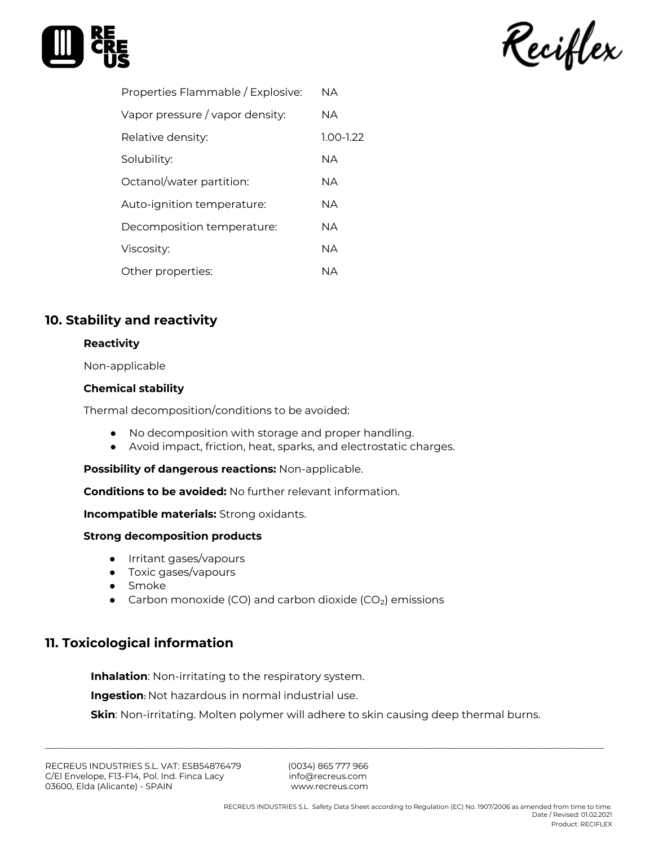



| Vapor pressure / vapor density:<br><b>NA</b> |  |
|----------------------------------------------|--|
|                                              |  |
| $1.00 - 1.22$<br>Relative density:           |  |
| Solubility:<br><b>NA</b>                     |  |
| Octanol/water partition:<br><b>NA</b>        |  |
| <b>NA</b><br>Auto-ignition temperature:      |  |
| <b>NA</b><br>Decomposition temperature:      |  |
| <b>NA</b><br>Viscosity:                      |  |
| Other properties:<br><b>NA</b>               |  |

# **10. Stability and reactivity**

## **Reactivity**

Non-applicable

## **Chemical stability**

Thermal decomposition/conditions to be avoided:

- No decomposition with storage and proper handling.
- Avoid impact, friction, heat, sparks, and electrostatic charges.

**Possibility of dangerous reactions:** Non-applicable.

**Conditions to be avoided:** No further relevant information.

**Incompatible materials:** Strong oxidants.

## **Strong decomposition products**

- Irritant gases/vapours
- Toxic gases/vapours
- Smoke
- Carbon monoxide (CO) and carbon dioxide (CO<sub>2</sub>) emissions

# **11. Toxicological information**

**Inhalation**: Non-irritating to the respiratory system.

**Ingestion:** Not hazardous in normal industrial use.

**Skin**: Non-irritating. Molten polymer will adhere to skin causing deep thermal burns.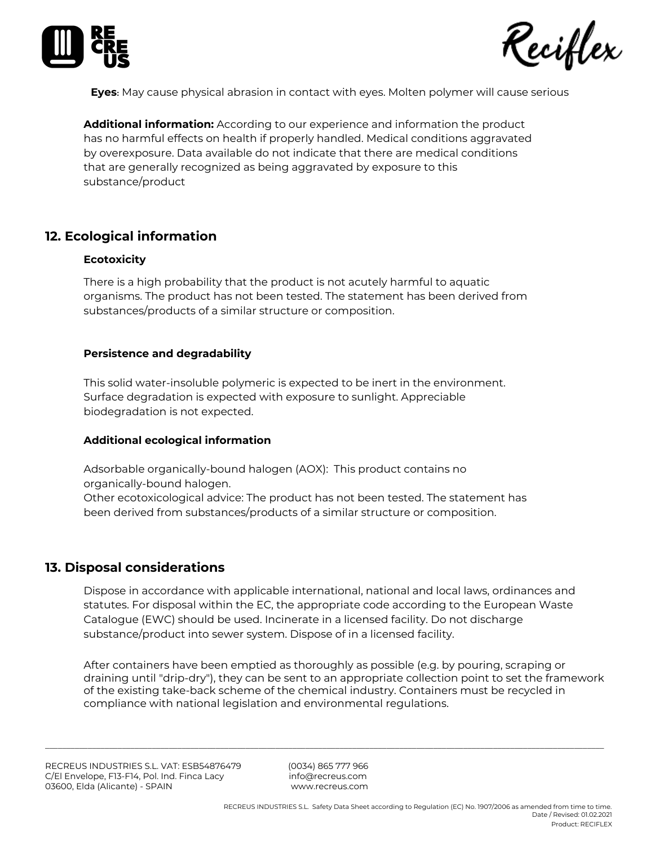



**Eyes:** May cause physical abrasion in contact with eyes. Molten polymer will cause serious

**Additional information:** According to our experience and information the product has no harmful effects on health if properly handled. Medical conditions aggravated by overexposure. Data available do not indicate that there are medical conditions that are generally recognized as being aggravated by exposure to this substance/product

# **12. Ecological information**

#### **Ecotoxicity**

There is a high probability that the product is not acutely harmful to aquatic organisms. The product has not been tested. The statement has been derived from substances/products of a similar structure or composition.

#### **Persistence and degradability**

This solid water-insoluble polymeric is expected to be inert in the environment. Surface degradation is expected with exposure to sunlight. Appreciable biodegradation is not expected.

## **Additional ecological information**

Adsorbable organically-bound halogen (AOX): This product contains no organically-bound halogen. Other ecotoxicological advice: The product has not been tested. The statement has been derived from substances/products of a similar structure or composition.

## **13. Disposal considerations**

Dispose in accordance with applicable international, national and local laws, ordinances and statutes. For disposal within the EC, the appropriate code according to the European Waste Catalogue (EWC) should be used. Incinerate in a licensed facility. Do not discharge substance/product into sewer system. Dispose of in a licensed facility.

After containers have been emptied as thoroughly as possible (e.g. by pouring, scraping or draining until "drip‐dry"), they can be sent to an appropriate collection point to set the framework of the existing take‐back scheme of the chemical industry. Containers must be recycled in compliance with national legislation and environmental regulations.